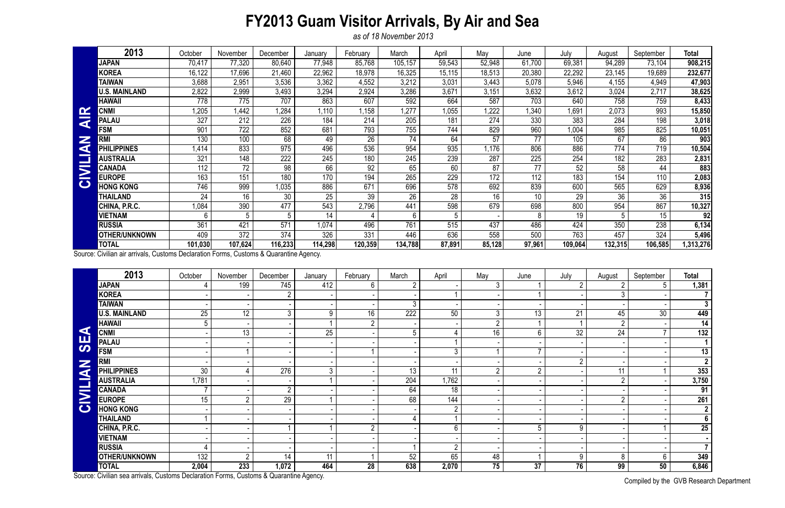## **FY2013 Guam Visitor Arrivals, By Air and Sea**

*as of 18 November 2013*

Compiled by the GVB Research Department

|                         | 2013                   | October | November | December | January | February | March   | April  | May    | June   | July    | August  | September | <b>Total</b> |
|-------------------------|------------------------|---------|----------|----------|---------|----------|---------|--------|--------|--------|---------|---------|-----------|--------------|
|                         | <b>JAPAN</b>           | 70,417  | 77,320   | 80,640   | 77,948  | 85,768   | 105,157 | 59,543 | 52,948 | 61,700 | 69,381  | 94,289  | 73,104    | 908,215      |
|                         | <b>KOREA</b>           | 16,122  | 17,696   | 21,460   | 22,962  | 18,978   | 16,325  | 15,115 | 18,513 | 20,380 | 22,292  | 23,145  | 19,689    | 232,677      |
|                         | <b>TAIWAN</b>          | 3,688   | 2,951    | 3,536    | 3,362   | 4,552    | 3,212   | 3,031  | 3,443  | 5,078  | 5,946   | 4,155   | 4,949     | 47,903       |
|                         | <b>U.S. MAINLAND</b>   | 2,822   | 2,999    | 3,493    | 3,294   | 2,924    | 3,286   | 3,671  | 3,151  | 3,632  | 3,612   | 3,024   | 2,717     | 38,625       |
|                         | <b>HAWAII</b>          | 778     | 775      | 707      | 863     | 607      | 592     | 664    | 587    | 703    | 640     | 758     | 759       | 8,433        |
| $\mathbf{\alpha}$       | <b>CNMI</b>            | .205    | 1,442    | .284     | 1,110   | 1,158    | 1,277   | 1,055  | .222   | ,340   | ,691    | 2,073   | 993       | 15,850       |
| $\overline{\textbf{a}}$ | <b>PALAU</b>           | 327     | 212      | 226      | 184     | 214      | 205     | 181    | 274    | 330    | 383     | 284     | 198       | 3,018        |
| Z<br>a                  | <b>FSM</b>             | 901     | 722      | 852      | 681     | 793      | 755     | 744    | 829    | 960    | 1,004   | 985     | 825       | 10,051       |
|                         | <b>RM</b>              | 130     | 100      | 68       | 49      | 26       | 74      | 64     | 57     | 77     | 105     | 67      | 86        | 903          |
|                         | PHI<br><b>LIPPINES</b> | 1,414   | 833      | 975      | 496     | 536      | 954     | 935    | ,176   | 806    | 886     | 774     | 719       | 10,504       |
|                         | <b>AUSTRALIA</b>       | 321     | 148      | 222      | 245     | 180      | 245     | 239    | 287    | 225    | 254     | 182     | 283       | 2,831        |
| $\overline{\mathbf{z}}$ | <b>CANADA</b>          | 112     | 72       | 98       | 66      | 92       | 65      | 60     | 87     | 77     | 52      | 58      | 44        | 883          |
|                         | <b>EUROPE</b>          | 163     | 151      | 180      | 170     | 194      | 265     | 229    | 172    | 112    | 183     | 154     | 110       | 2,083        |
| $\bullet$               | <b>HONG KONG</b>       | 746     | 999      | 1,035    | 886     | 671      | 696     | 578    | 692    | 839    | 600     | 565     | 629       | 8,936        |
|                         | THAILAND               | 24      | 16       | 30       | 25      | 39       | 26      | 28     | 16     | 10     | 29      | 36      | 36        | 315          |
|                         | CHINA, P.R.C.          | ,084    | 390      | 477      | 543     | 2,796    | 441     | 598    | 679    | 698    | 800     | 954     | 867       | 10,327       |
|                         | <b>VIETNAM</b>         | 6       | 5        | 5        | 14      |          | 6       |        |        | 8      | 19      | 5       | 15        | 92           |
|                         | <b>RUSSIA</b>          | 361     | 421      | 571      | 1,074   | 496      | 761     | 515    | 437    | 486    | 424     | 350     | 238       | 6,134        |
|                         | <b>OTHER/UNKNOWN</b>   | 409     | 372      | 374      | 326     | 331      | 446     | 636    | 558    | 500    | 763     | 457     | 324       | 5,496        |
|                         | <b>TOTAL</b>           | 101,030 | 107,624  | 116,233  | 114,298 | 120,359  | 134,788 | 87,891 | 85,128 | 97,961 | 109,064 | 132,315 | 106,585   | 313,276,     |

|                       | <b>CNMI</b>                                                                            | 1,205           | 1,442           | 1,284            | 1,110           | 1,158           | 1,277            | 1,055  | ,222           | 1,340           | 1,691           | 2,073           | 993             | 15,850                   |
|-----------------------|----------------------------------------------------------------------------------------|-----------------|-----------------|------------------|-----------------|-----------------|------------------|--------|----------------|-----------------|-----------------|-----------------|-----------------|--------------------------|
| <b>AIR</b>            | <b>PALAU</b>                                                                           | 327             | 212             | 226              | 184             | 214             | 205              | 181    | 274            | 330             | 383             | 284             | 198             | 3,018                    |
| Z<br>CIVILIA          | <b>FSM</b>                                                                             | 901             | 722             | 852              | 681             | 793             | 755              | 744    | 829            | 960             | 1,004           | 985             | 825             | 10,051                   |
|                       | <b>RMI</b>                                                                             | 130             | 100             | 68               | 49              | $\overline{26}$ | $\overline{74}$  | 64     | 57             | 77              | 105             | 67              | 86              | 903                      |
|                       | <b>PHILIPPINES</b>                                                                     | 1,414           | 833             | 975              | 496             | 536             | 954              | 935    | 1,176          | 806             | 886             | 774             | 719             | 10,504                   |
|                       | <b>AUSTRALIA</b>                                                                       | 321             | 148             | 222              | 245             | 180             | 245              | 239    | 287            | 225             | 254             | 182             | 283             | 2,831                    |
|                       | <b>CANADA</b>                                                                          | 112             | $\overline{72}$ | $\overline{98}$  | 66              | $\overline{92}$ | 65               | 60     | 87             | 77              | $\overline{52}$ | 58              | 44              | 883                      |
|                       | <b>EUROPE</b>                                                                          | 163             | 151             | 180              | 170             | 194             | 265              | 229    | 172            | 112             | 183             | 154             | 110             | 2,083                    |
|                       | <b>HONG KONG</b>                                                                       | 746             | 999             | 1,035            | 886             | 671             | 696              | 578    | 692            | 839             | 600             | 565             | 629             | 8,936                    |
|                       | <b>THAILAND</b>                                                                        | 24              | 16              | 30               | $\overline{25}$ | $\overline{39}$ | $\overline{26}$  | 28     | 16             | 10              | $\overline{29}$ | $\overline{36}$ | $\overline{36}$ | 315                      |
|                       | CHINA, P.R.C.                                                                          | 1,084           | 390             | 477              | 543             | 2,796           | 441              | 598    | 679            | 698             | 800             | 954             | 867             | 10,327                   |
|                       | <b>VIETNAM</b>                                                                         | 6               | 5               | 5                | 14              |                 | 6                | 5      |                | 8               | 19              | 5 <sup>5</sup>  | 15              | 92                       |
|                       | <b>RUSSIA</b>                                                                          | 361             | 421             | $\overline{571}$ | 1,074           | 496             | 761              | 515    | 437            | 486             | 424             | 350             | 238             | 6,134                    |
|                       | <b>OTHER/UNKNOWN</b>                                                                   | 409             | 372             | 374              | 326             | 331             | 446              | 636    | 558            | 500             | 763             | 457             | 324             | 5,496                    |
|                       | <b>TOTAL</b>                                                                           | 101,030         | 107,624         | 116,233          | 114,298         | 120,359         | 134,788          | 87,891 | 85,128         | 97,961          | 109,064         | 132,315         | 106,585         | 1,313,276                |
|                       | Source: Civilian air arrivals, Customs Declaration Forms, Customs & Quarantine Agency. |                 |                 |                  |                 |                 |                  |        |                |                 |                 |                 |                 |                          |
|                       | 2013                                                                                   | October         | November        | December         | January         | February        | March            | April  | May            | June            | July            | August          | September       | <b>Total</b>             |
|                       | <b>JAPAN</b>                                                                           | 4               | 199             | 745              | 412             | 6               | $\overline{2}$   |        | 3              |                 | $\overline{2}$  | $\overline{2}$  | 5               | 1,381                    |
|                       | <b>KOREA</b>                                                                           |                 |                 | $2^{\circ}$      |                 |                 |                  |        |                |                 |                 | 3 <sup>1</sup>  |                 | $\overline{7}$           |
|                       | <b>TAIWAN</b>                                                                          |                 |                 |                  |                 |                 | 3                |        |                |                 |                 |                 |                 | 3 <sup>1</sup>           |
|                       | <b>U.S. MAINLAND</b>                                                                   | $\overline{25}$ | $\overline{12}$ | 3 <sup>1</sup>   | 9               | $\overline{16}$ | $\overline{222}$ | 50     | 3              | $\overline{13}$ | 21              | 45              | 30              | 449                      |
|                       | <b>HAWAII</b>                                                                          | 5               |                 |                  |                 | $\overline{2}$  |                  |        | $\overline{2}$ | 1               |                 | $2\overline{ }$ |                 | $\overline{14}$          |
| $\blacktriangleleft$  | <b>CNMI</b>                                                                            |                 | 13              |                  | 25              |                 | 5                | 4      | 16             | $6\phantom{.}$  | $\overline{32}$ | $\overline{24}$ |                 | 132                      |
| <b>SE</b>             | <b>PALAU</b>                                                                           |                 |                 |                  |                 |                 |                  | -1     |                |                 |                 |                 |                 | 1 <sup>1</sup>           |
|                       | <b>FSM</b>                                                                             |                 |                 |                  |                 |                 |                  | 3      |                | $\overline{7}$  |                 |                 |                 | 13                       |
|                       | <b>RMI</b>                                                                             |                 |                 |                  |                 |                 |                  |        |                |                 | $\overline{2}$  |                 |                 | $\overline{2}$           |
| <b>NAI.</b>           | <b>PHILIPPINES</b>                                                                     | 30              | 4               | 276              | $\mathfrak{Z}$  |                 | 13               | 11     | $\overline{2}$ | $\overline{2}$  |                 | 11              |                 | 353                      |
|                       | <b>AUSTRALIA</b>                                                                       | 1,781           |                 |                  |                 |                 | 204              | 1,762  |                |                 |                 | $\overline{2}$  |                 | 3,750                    |
| E.                    | <b>CANADA</b>                                                                          | $\overline{7}$  |                 | $2^{\circ}$      |                 |                 | 64               | 18     |                |                 |                 |                 |                 | 91                       |
| $\blacktriangleright$ | <b>EUROPE</b>                                                                          | 15              | $\overline{2}$  | 29               |                 |                 | 68               | 144    |                |                 |                 | $\overline{2}$  |                 | 261                      |
| $\bullet$             | <b>HONG KONG</b>                                                                       |                 |                 |                  |                 |                 |                  |        |                |                 |                 |                 |                 | $\overline{2}$           |
|                       | <b>THAILAND</b>                                                                        |                 |                 |                  |                 |                 |                  |        |                |                 |                 |                 |                 | $\overline{\phantom{a}}$ |
|                       | CHINA, P.R.C.                                                                          |                 |                 |                  |                 | 2               |                  | 6      |                | 5               | 9               |                 |                 | 25                       |
|                       | <b>VIETNAM</b>                                                                         |                 |                 |                  |                 |                 |                  |        |                |                 |                 |                 |                 | $\blacksquare$           |
|                       | <b>RUSSIA</b>                                                                          |                 |                 |                  |                 |                 |                  | റ      |                |                 |                 |                 |                 | 7 <sup>1</sup>           |
|                       | <b>OTHER/UNKNOWN</b>                                                                   | 132             | $\mathcal{D}$   | 14               | 11              |                 | 52               | 65     | 48             |                 | 9               | 8               | 6               | 349                      |
|                       | <b>TOTAL</b>                                                                           | 2,004           | 233             | 1,072            | 464             | 28              | 638              | 2,070  | 75             | 37              | $\overline{76}$ | 99              | 50              | 6,846                    |
|                       | Source: Civilian sea arrivals, Customs Declaration Forms, Customs & Quarantine Agency. |                 |                 |                  |                 |                 |                  |        |                |                 |                 |                 |                 |                          |